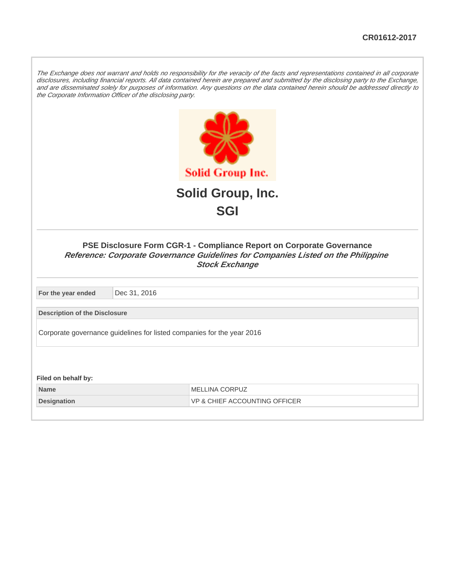The Exchange does not warrant and holds no responsibility for the veracity of the facts and representations contained in all corporate disclosures, including financial reports. All data contained herein are prepared and submitted by the disclosing party to the Exchange, and are disseminated solely for purposes of information. Any questions on the data contained herein should be addressed directly to the Corporate Information Officer of the disclosing party.



## **PSE Disclosure Form CGR-1 - Compliance Report on Corporate Governance Reference: Corporate Governance Guidelines for Companies Listed on the Philippine Stock Exchange**

**For the year ended** Dec 31, 2016

**Description of the Disclosure**

Corporate governance guidelines for listed companies for the year 2016

**Filed on behalf by:**

**Name** MELLINA CORPUZ **Designation VP & CHIEF ACCOUNTING OFFICER**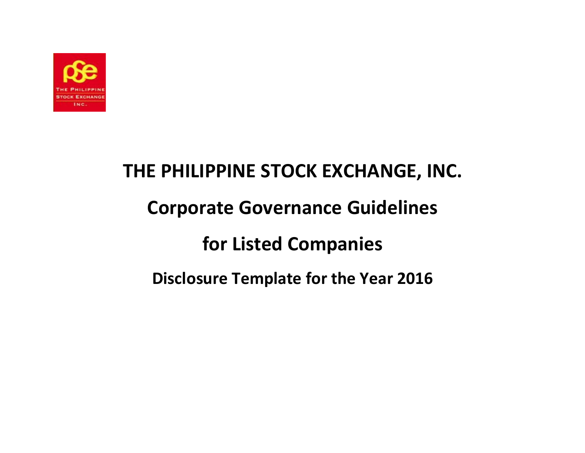

## THE PHILIPPINE STOCK EXCHANGE, INC. Corporate Governance Guidelines for Listed Companies Disclosure Template for the Year 2016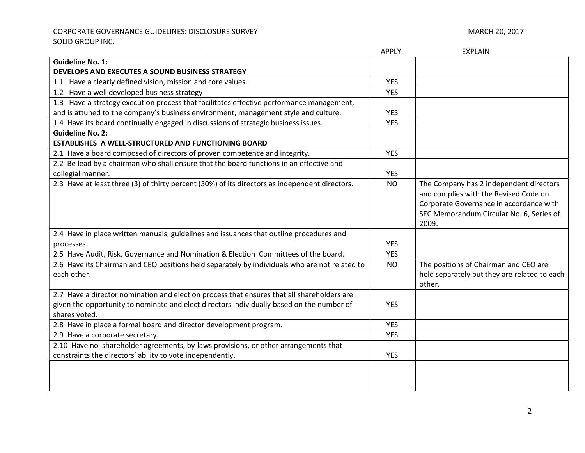CORPORATE GOVERNANCE GUIDELINES: DISCLOSURE SURVEY **Annual State of Active Contract Contract** 20, 2017 SOLID GROUP INC.

|                                                                                                              | <b>APPLY</b>             | <b>EXPLAIN</b>                                                                                                                                                          |
|--------------------------------------------------------------------------------------------------------------|--------------------------|-------------------------------------------------------------------------------------------------------------------------------------------------------------------------|
| <b>Guideline No. 1:</b>                                                                                      |                          |                                                                                                                                                                         |
| DEVELOPS AND EXECUTES A SOUND BUSINESS STRATEGY                                                              |                          |                                                                                                                                                                         |
| 1.1 Have a clearly defined vision, mission and core values.                                                  | <b>YES</b>               |                                                                                                                                                                         |
| 1.2 Have a well developed business strategy                                                                  | <b>YES</b>               |                                                                                                                                                                         |
| 1.3 Have a strategy execution process that facilitates effective performance management,                     |                          |                                                                                                                                                                         |
| and is attuned to the company's business environment, management style and culture.                          | <b>YES</b>               |                                                                                                                                                                         |
| 1.4 Have its board continually engaged in discussions of strategic business issues.                          | <b>YES</b>               |                                                                                                                                                                         |
| <b>Guideline No. 2:</b>                                                                                      |                          |                                                                                                                                                                         |
| ESTABLISHES A WELL-STRUCTURED AND FUNCTIONING BOARD                                                          |                          |                                                                                                                                                                         |
| 2.1 Have a board composed of directors of proven competence and integrity.                                   | <b>YES</b>               |                                                                                                                                                                         |
| 2.2 Be lead by a chairman who shall ensure that the board functions in an effective and                      |                          |                                                                                                                                                                         |
| collegial manner.                                                                                            | <b>YES</b>               |                                                                                                                                                                         |
| 2.3 Have at least three (3) of thirty percent (30%) of its directors as independent directors.               | <b>NO</b>                | The Company has 2 independent directors<br>and complies with the Revised Code on<br>Corporate Governance in accordance with<br>SEC Memorandum Circular No. 6, Series of |
|                                                                                                              |                          | 2009.                                                                                                                                                                   |
| 2.4 Have in place written manuals, guidelines and issuances that outline procedures and                      |                          |                                                                                                                                                                         |
| processes.                                                                                                   | <b>YES</b><br><b>YES</b> |                                                                                                                                                                         |
| 2.5 Have Audit, Risk, Governance and Nomination & Election Committees of the board.                          |                          |                                                                                                                                                                         |
| 2.6 Have its Chairman and CEO positions held separately by individuals who are not related to<br>each other. | <b>NO</b>                | The positions of Chairman and CEO are<br>held separately but they are related to each<br>other.                                                                         |
| 2.7 Have a director nomination and election process that ensures that all shareholders are                   |                          |                                                                                                                                                                         |
| given the opportunity to nominate and elect directors individually based on the number of<br>shares voted.   | <b>YES</b>               |                                                                                                                                                                         |
| 2.8 Have in place a formal board and director development program.                                           | <b>YES</b>               |                                                                                                                                                                         |
| 2.9 Have a corporate secretary.                                                                              | <b>YES</b>               |                                                                                                                                                                         |
| 2.10 Have no shareholder agreements, by-laws provisions, or other arrangements that                          |                          |                                                                                                                                                                         |
| constraints the directors' ability to vote independently.                                                    | <b>YES</b>               |                                                                                                                                                                         |
|                                                                                                              |                          |                                                                                                                                                                         |
|                                                                                                              |                          |                                                                                                                                                                         |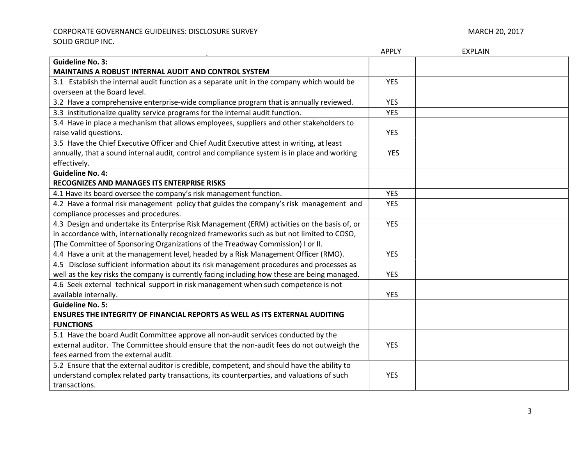## CORPORATE GOVERNANCE GUIDELINES: DISCLOSURE SURVEY **Annual State of Active Contract Contract** March 20, 2017 SOLID GROUP INC.

|                                                                                              | <b>APPLY</b> | <b>EXPLAIN</b> |
|----------------------------------------------------------------------------------------------|--------------|----------------|
| <b>Guideline No. 3:</b>                                                                      |              |                |
| <b>MAINTAINS A ROBUST INTERNAL AUDIT AND CONTROL SYSTEM</b>                                  |              |                |
| 3.1 Establish the internal audit function as a separate unit in the company which would be   | <b>YES</b>   |                |
| overseen at the Board level.                                                                 |              |                |
| 3.2 Have a comprehensive enterprise-wide compliance program that is annually reviewed.       | <b>YES</b>   |                |
| 3.3 institutionalize quality service programs for the internal audit function.               | <b>YES</b>   |                |
| 3.4 Have in place a mechanism that allows employees, suppliers and other stakeholders to     |              |                |
| raise valid questions.                                                                       | <b>YES</b>   |                |
| 3.5 Have the Chief Executive Officer and Chief Audit Executive attest in writing, at least   |              |                |
| annually, that a sound internal audit, control and compliance system is in place and working | <b>YES</b>   |                |
| effectively.                                                                                 |              |                |
| <b>Guideline No. 4:</b>                                                                      |              |                |
| RECOGNIZES AND MANAGES ITS ENTERPRISE RISKS                                                  |              |                |
| 4.1 Have its board oversee the company's risk management function.                           | <b>YES</b>   |                |
| 4.2 Have a formal risk management policy that guides the company's risk management and       | <b>YES</b>   |                |
| compliance processes and procedures.                                                         |              |                |
| 4.3 Design and undertake its Enterprise Risk Management (ERM) activities on the basis of, or | <b>YES</b>   |                |
| in accordance with, internationally recognized frameworks such as but not limited to COSO,   |              |                |
| (The Committee of Sponsoring Organizations of the Treadway Commission) I or II.              |              |                |
| 4.4 Have a unit at the management level, headed by a Risk Management Officer (RMO).          | <b>YES</b>   |                |
| 4.5 Disclose sufficient information about its risk management procedures and processes as    |              |                |
| well as the key risks the company is currently facing including how these are being managed. | <b>YES</b>   |                |
| 4.6 Seek external technical support in risk management when such competence is not           |              |                |
| available internally.                                                                        | <b>YES</b>   |                |
| <b>Guideline No. 5:</b>                                                                      |              |                |
| <b>ENSURES THE INTEGRITY OF FINANCIAL REPORTS AS WELL AS ITS EXTERNAL AUDITING</b>           |              |                |
| <b>FUNCTIONS</b>                                                                             |              |                |
| 5.1 Have the board Audit Committee approve all non-audit services conducted by the           |              |                |
| external auditor. The Committee should ensure that the non-audit fees do not outweigh the    | <b>YES</b>   |                |
| fees earned from the external audit.                                                         |              |                |
| 5.2 Ensure that the external auditor is credible, competent, and should have the ability to  |              |                |
| understand complex related party transactions, its counterparties, and valuations of such    | <b>YES</b>   |                |
| transactions.                                                                                |              |                |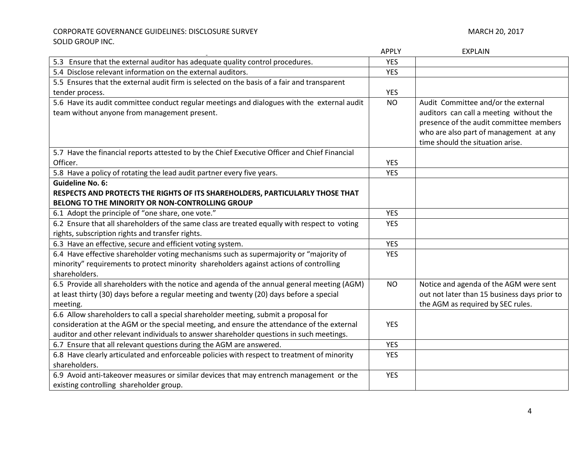## CORPORATE GOVERNANCE GUIDELINES: DISCLOSURE SURVEY **Annual State of Active Contract Contract** 20, 2017 SOLID GROUP INC.

|                                                                                                                                                                                                                                                                               | <b>APPLY</b> | <b>EXPLAIN</b>                                                                                                                                                                                          |
|-------------------------------------------------------------------------------------------------------------------------------------------------------------------------------------------------------------------------------------------------------------------------------|--------------|---------------------------------------------------------------------------------------------------------------------------------------------------------------------------------------------------------|
| 5.3 Ensure that the external auditor has adequate quality control procedures.                                                                                                                                                                                                 | <b>YES</b>   |                                                                                                                                                                                                         |
| 5.4 Disclose relevant information on the external auditors.                                                                                                                                                                                                                   | <b>YES</b>   |                                                                                                                                                                                                         |
| 5.5 Ensures that the external audit firm is selected on the basis of a fair and transparent                                                                                                                                                                                   |              |                                                                                                                                                                                                         |
| tender process.                                                                                                                                                                                                                                                               | <b>YES</b>   |                                                                                                                                                                                                         |
| 5.6 Have its audit committee conduct regular meetings and dialogues with the external audit<br>team without anyone from management present.                                                                                                                                   | <b>NO</b>    | Audit Committee and/or the external<br>auditors can call a meeting without the<br>presence of the audit committee members<br>who are also part of management at any<br>time should the situation arise. |
| 5.7 Have the financial reports attested to by the Chief Executive Officer and Chief Financial                                                                                                                                                                                 |              |                                                                                                                                                                                                         |
| Officer.                                                                                                                                                                                                                                                                      | <b>YES</b>   |                                                                                                                                                                                                         |
| 5.8 Have a policy of rotating the lead audit partner every five years.                                                                                                                                                                                                        | <b>YES</b>   |                                                                                                                                                                                                         |
| <b>Guideline No. 6:</b><br>RESPECTS AND PROTECTS THE RIGHTS OF ITS SHAREHOLDERS, PARTICULARLY THOSE THAT<br>BELONG TO THE MINORITY OR NON-CONTROLLING GROUP                                                                                                                   |              |                                                                                                                                                                                                         |
| 6.1 Adopt the principle of "one share, one vote."                                                                                                                                                                                                                             | <b>YES</b>   |                                                                                                                                                                                                         |
| 6.2 Ensure that all shareholders of the same class are treated equally with respect to voting<br>rights, subscription rights and transfer rights.                                                                                                                             | <b>YES</b>   |                                                                                                                                                                                                         |
| 6.3 Have an effective, secure and efficient voting system.                                                                                                                                                                                                                    | <b>YES</b>   |                                                                                                                                                                                                         |
| 6.4 Have effective shareholder voting mechanisms such as supermajority or "majority of<br>minority" requirements to protect minority shareholders against actions of controlling<br>shareholders.                                                                             | <b>YES</b>   |                                                                                                                                                                                                         |
| 6.5 Provide all shareholders with the notice and agenda of the annual general meeting (AGM)<br>at least thirty (30) days before a regular meeting and twenty (20) days before a special<br>meeting.                                                                           | <b>NO</b>    | Notice and agenda of the AGM were sent<br>out not later than 15 business days prior to<br>the AGM as required by SEC rules.                                                                             |
| 6.6 Allow shareholders to call a special shareholder meeting, submit a proposal for<br>consideration at the AGM or the special meeting, and ensure the attendance of the external<br>auditor and other relevant individuals to answer shareholder questions in such meetings. | <b>YES</b>   |                                                                                                                                                                                                         |
| 6.7 Ensure that all relevant questions during the AGM are answered.                                                                                                                                                                                                           | <b>YES</b>   |                                                                                                                                                                                                         |
| 6.8 Have clearly articulated and enforceable policies with respect to treatment of minority<br>shareholders.                                                                                                                                                                  | <b>YES</b>   |                                                                                                                                                                                                         |
| 6.9 Avoid anti-takeover measures or similar devices that may entrench management or the<br>existing controlling shareholder group.                                                                                                                                            | <b>YES</b>   |                                                                                                                                                                                                         |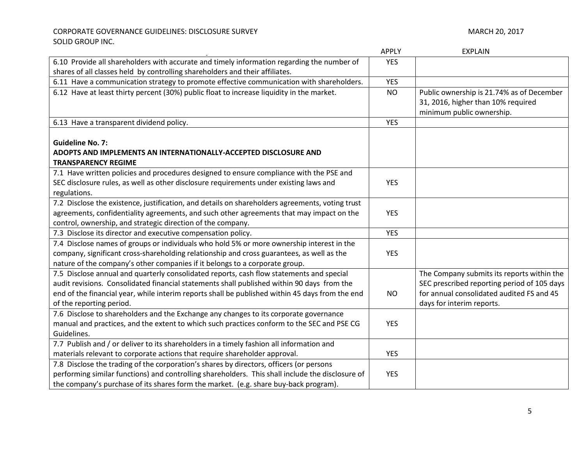|                                                                                                                           | <b>APPLY</b> | <b>EXPLAIN</b>                                                                                               |
|---------------------------------------------------------------------------------------------------------------------------|--------------|--------------------------------------------------------------------------------------------------------------|
| 6.10 Provide all shareholders with accurate and timely information regarding the number of                                | <b>YES</b>   |                                                                                                              |
| shares of all classes held by controlling shareholders and their affiliates.                                              |              |                                                                                                              |
| 6.11 Have a communication strategy to promote effective communication with shareholders.                                  | <b>YES</b>   |                                                                                                              |
| 6.12 Have at least thirty percent (30%) public float to increase liquidity in the market.                                 | <b>NO</b>    | Public ownership is 21.74% as of December<br>31, 2016, higher than 10% required<br>minimum public ownership. |
| 6.13 Have a transparent dividend policy.                                                                                  | <b>YES</b>   |                                                                                                              |
| <b>Guideline No. 7:</b><br>ADOPTS AND IMPLEMENTS AN INTERNATIONALLY-ACCEPTED DISCLOSURE AND<br><b>TRANSPARENCY REGIME</b> |              |                                                                                                              |
| 7.1 Have written policies and procedures designed to ensure compliance with the PSE and                                   |              |                                                                                                              |
| SEC disclosure rules, as well as other disclosure requirements under existing laws and                                    | <b>YES</b>   |                                                                                                              |
| regulations.                                                                                                              |              |                                                                                                              |
| 7.2 Disclose the existence, justification, and details on shareholders agreements, voting trust                           |              |                                                                                                              |
| agreements, confidentiality agreements, and such other agreements that may impact on the                                  | <b>YES</b>   |                                                                                                              |
| control, ownership, and strategic direction of the company.                                                               |              |                                                                                                              |
| 7.3 Disclose its director and executive compensation policy.                                                              | <b>YES</b>   |                                                                                                              |
| 7.4 Disclose names of groups or individuals who hold 5% or more ownership interest in the                                 |              |                                                                                                              |
| company, significant cross-shareholding relationship and cross guarantees, as well as the                                 | <b>YES</b>   |                                                                                                              |
| nature of the company's other companies if it belongs to a corporate group.                                               |              |                                                                                                              |
| 7.5 Disclose annual and quarterly consolidated reports, cash flow statements and special                                  |              | The Company submits its reports within the                                                                   |
| audit revisions. Consolidated financial statements shall published within 90 days from the                                |              | SEC prescribed reporting period of 105 days                                                                  |
| end of the financial year, while interim reports shall be published within 45 days from the end                           | <b>NO</b>    | for annual consolidated audited FS and 45                                                                    |
| of the reporting period.                                                                                                  |              | days for interim reports.                                                                                    |
| 7.6 Disclose to shareholders and the Exchange any changes to its corporate governance                                     |              |                                                                                                              |
| manual and practices, and the extent to which such practices conform to the SEC and PSE CG                                | <b>YES</b>   |                                                                                                              |
| Guidelines.                                                                                                               |              |                                                                                                              |
| 7.7 Publish and / or deliver to its shareholders in a timely fashion all information and                                  |              |                                                                                                              |
| materials relevant to corporate actions that require shareholder approval.                                                | <b>YES</b>   |                                                                                                              |
| 7.8 Disclose the trading of the corporation's shares by directors, officers (or persons                                   |              |                                                                                                              |
| performing similar functions) and controlling shareholders. This shall include the disclosure of                          | <b>YES</b>   |                                                                                                              |
| the company's purchase of its shares form the market. (e.g. share buy-back program).                                      |              |                                                                                                              |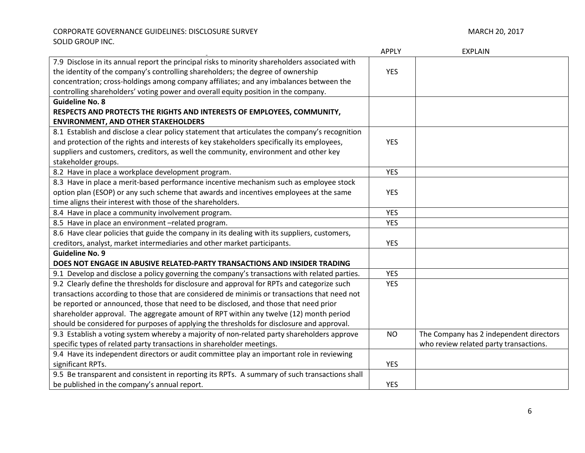|                                                                                                | <b>APPLY</b> | <b>EXPLAIN</b>                          |
|------------------------------------------------------------------------------------------------|--------------|-----------------------------------------|
| 7.9 Disclose in its annual report the principal risks to minority shareholders associated with |              |                                         |
| the identity of the company's controlling shareholders; the degree of ownership                | <b>YES</b>   |                                         |
| concentration; cross-holdings among company affiliates; and any imbalances between the         |              |                                         |
| controlling shareholders' voting power and overall equity position in the company.             |              |                                         |
| <b>Guideline No. 8</b>                                                                         |              |                                         |
| RESPECTS AND PROTECTS THE RIGHTS AND INTERESTS OF EMPLOYEES, COMMUNITY,                        |              |                                         |
| <b>ENVIRONMENT, AND OTHER STAKEHOLDERS</b>                                                     |              |                                         |
| 8.1 Establish and disclose a clear policy statement that articulates the company's recognition |              |                                         |
| and protection of the rights and interests of key stakeholders specifically its employees,     | <b>YES</b>   |                                         |
| suppliers and customers, creditors, as well the community, environment and other key           |              |                                         |
| stakeholder groups.                                                                            |              |                                         |
| 8.2 Have in place a workplace development program.                                             | <b>YES</b>   |                                         |
| 8.3 Have in place a merit-based performance incentive mechanism such as employee stock         |              |                                         |
| option plan (ESOP) or any such scheme that awards and incentives employees at the same         | <b>YES</b>   |                                         |
| time aligns their interest with those of the shareholders.                                     |              |                                         |
| 8.4 Have in place a community involvement program.                                             | <b>YES</b>   |                                         |
| 8.5 Have in place an environment -related program.                                             | <b>YES</b>   |                                         |
| 8.6 Have clear policies that guide the company in its dealing with its suppliers, customers,   |              |                                         |
| creditors, analyst, market intermediaries and other market participants.                       | <b>YES</b>   |                                         |
| <b>Guideline No. 9</b>                                                                         |              |                                         |
| DOES NOT ENGAGE IN ABUSIVE RELATED-PARTY TRANSACTIONS AND INSIDER TRADING                      |              |                                         |
| 9.1 Develop and disclose a policy governing the company's transactions with related parties.   | <b>YES</b>   |                                         |
| 9.2 Clearly define the thresholds for disclosure and approval for RPTs and categorize such     | <b>YES</b>   |                                         |
| transactions according to those that are considered de minimis or transactions that need not   |              |                                         |
| be reported or announced, those that need to be disclosed, and those that need prior           |              |                                         |
| shareholder approval. The aggregate amount of RPT within any twelve (12) month period          |              |                                         |
| should be considered for purposes of applying the thresholds for disclosure and approval.      |              |                                         |
| 9.3 Establish a voting system whereby a majority of non-related party shareholders approve     | <b>NO</b>    | The Company has 2 independent directors |
| specific types of related party transactions in shareholder meetings.                          |              | who review related party transactions.  |
| 9.4 Have its independent directors or audit committee play an important role in reviewing      |              |                                         |
| significant RPTs.                                                                              | <b>YES</b>   |                                         |
| 9.5 Be transparent and consistent in reporting its RPTs. A summary of such transactions shall  |              |                                         |
| be published in the company's annual report.                                                   | <b>YES</b>   |                                         |